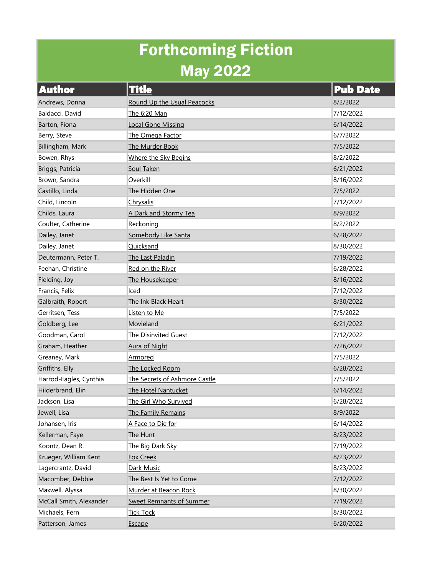## Forthcoming Fiction May 2022

| <b>Author</b>           | <b>Title</b>                    | <b>Pub Date</b> |
|-------------------------|---------------------------------|-----------------|
| Andrews, Donna          | Round Up the Usual Peacocks     | 8/2/2022        |
| Baldacci, David         | The 6:20 Man                    | 7/12/2022       |
| Barton, Fiona           | <b>Local Gone Missing</b>       | 6/14/2022       |
| Berry, Steve            | The Omega Factor                | 6/7/2022        |
| Billingham, Mark        | The Murder Book                 | 7/5/2022        |
| Bowen, Rhys             | Where the Sky Begins            | 8/2/2022        |
| Briggs, Patricia        | Soul Taken                      | 6/21/2022       |
| Brown, Sandra           | Overkill                        | 8/16/2022       |
| Castillo, Linda         | The Hidden One                  | 7/5/2022        |
| Child, Lincoln          | Chrysalis                       | 7/12/2022       |
| Childs, Laura           | A Dark and Stormy Tea           | 8/9/2022        |
| Coulter, Catherine      | Reckoning                       | 8/2/2022        |
| Dailey, Janet           | Somebody Like Santa             | 6/28/2022       |
| Dailey, Janet           | Quicksand                       | 8/30/2022       |
| Deutermann, Peter T.    | The Last Paladin                | 7/19/2022       |
| Feehan, Christine       | Red on the River                | 6/28/2022       |
| Fielding, Joy           | The Housekeeper                 | 8/16/2022       |
| Francis, Felix          | Iced                            | 7/12/2022       |
| Galbraith, Robert       | The Ink Black Heart             | 8/30/2022       |
| Gerritsen, Tess         | Listen to Me                    | 7/5/2022        |
| Goldberg, Lee           | Movieland                       | 6/21/2022       |
| Goodman, Carol          | <b>The Disinvited Guest</b>     | 7/12/2022       |
| Graham, Heather         | <b>Aura of Night</b>            | 7/26/2022       |
| Greaney, Mark           | Armored                         | 7/5/2022        |
| Griffiths, Elly         | The Locked Room                 | 6/28/2022       |
| Harrod-Eagles, Cynthia  | The Secrets of Ashmore Castle   | 7/5/2022        |
| Hilderbrand, Elin       | <b>The Hotel Nantucket</b>      | 6/14/2022       |
| Jackson, Lisa           | The Girl Who Survived           | 6/28/2022       |
| Jewell, Lisa            | The Family Remains              | 8/9/2022        |
| Johansen, Iris          | A Face to Die for               | 6/14/2022       |
| Kellerman, Faye         | The Hunt                        | 8/23/2022       |
| Koontz, Dean R.         | The Big Dark Sky                | 7/19/2022       |
| Krueger, William Kent   | <b>Fox Creek</b>                | 8/23/2022       |
| Lagercrantz, David      | Dark Music                      | 8/23/2022       |
| Macomber, Debbie        | The Best Is Yet to Come         | 7/12/2022       |
| Maxwell, Alyssa         | Murder at Beacon Rock           | 8/30/2022       |
| McCall Smith, Alexander | <b>Sweet Remnants of Summer</b> | 7/19/2022       |
| Michaels, Fern          | <b>Tick Tock</b>                | 8/30/2022       |
| Patterson, James        | Escape                          | 6/20/2022       |